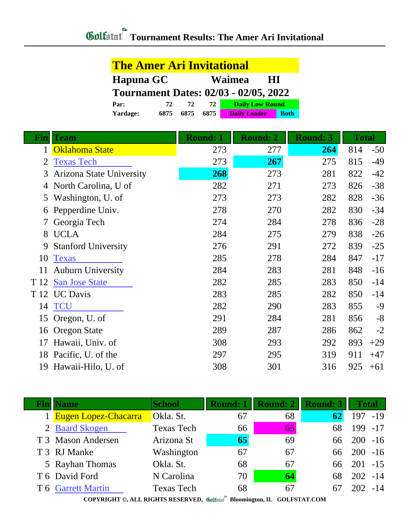|              | <u>The Amer Ari Invitational</u> |              |                 |                                              |             |                 |  |     |     |  |  |              |  |  |  |       |
|--------------|----------------------------------|--------------|-----------------|----------------------------------------------|-------------|-----------------|--|-----|-----|--|--|--------------|--|--|--|-------|
|              | Hapuna GC                        |              |                 | Waimea<br>$\mathbf{H}$                       |             |                 |  |     |     |  |  |              |  |  |  |       |
|              |                                  |              |                 | <b>Tournament Dates: 02/03 - 02/05, 2022</b> |             |                 |  |     |     |  |  |              |  |  |  |       |
|              | Par:                             | 72<br>72     | 72              | <b>Daily Low Round</b>                       |             |                 |  |     |     |  |  |              |  |  |  |       |
|              | Yardage:                         | 6875<br>6875 | 6875            | <b>Daily Leader</b>                          | <b>Both</b> |                 |  |     |     |  |  |              |  |  |  |       |
| Fin          | Team                             |              | <b>Round: 1</b> | <b>Round: 2</b>                              |             | <b>Round: 3</b> |  |     |     |  |  | <b>Total</b> |  |  |  |       |
| $\mathbf{1}$ | Oklahoma State                   |              | 273             | 277                                          |             | 264             |  |     | 814 |  |  |              |  |  |  | $-50$ |
| 2            | <b>Texas Tech</b>                |              | 273             | 267                                          |             | 275             |  |     | 815 |  |  |              |  |  |  | $-49$ |
| 3            | <b>Arizona State University</b>  |              | 268             | 273                                          |             | 281             |  |     | 822 |  |  |              |  |  |  | $-42$ |
| 4            | North Carolina, U of             |              | 282             | 271                                          |             | 273             |  |     | 826 |  |  |              |  |  |  | $-38$ |
| 5            | Washington, U. of                |              | 273             | 273                                          |             | 282             |  |     | 828 |  |  |              |  |  |  | $-36$ |
| 6            | Pepperdine Univ.                 |              | 278             | 270                                          |             | 282             |  |     | 830 |  |  |              |  |  |  | $-34$ |
| 7            | Georgia Tech                     |              | 274             | 284                                          |             | 278             |  |     | 836 |  |  |              |  |  |  | $-28$ |
| 8            | <b>UCLA</b>                      |              | 284             | 275                                          |             | 279             |  |     | 838 |  |  |              |  |  |  | $-26$ |
| 9            | <b>Stanford University</b>       |              | 276             | 291                                          |             | 272             |  |     | 839 |  |  |              |  |  |  | $-25$ |
| 10           | <b>Texas</b>                     |              | 285             | 278                                          |             | 284             |  | 847 |     |  |  |              |  |  |  | $-17$ |
| 11           | <b>Auburn University</b>         |              | 284             | 283                                          |             | 281             |  |     | 848 |  |  |              |  |  |  | $-16$ |
| T 12         | <b>San Jose State</b>            |              | 282             | 285                                          |             | 283             |  |     | 850 |  |  |              |  |  |  | $-14$ |
|              | T 12 UC Davis                    |              | 283             | 285                                          |             | 282             |  |     | 850 |  |  |              |  |  |  | $-14$ |
| 14           | <b>TCU</b>                       |              | 282             | 290                                          |             | 283             |  |     | 855 |  |  |              |  |  |  | $-9$  |
|              | 15 Oregon, U. of                 |              | 291             | 284                                          |             | 281             |  |     | 856 |  |  |              |  |  |  | $-8$  |
|              | 16 Oregon State                  |              | 289             | 287                                          |             | 286             |  |     | 862 |  |  |              |  |  |  | $-2$  |
| 17           | Hawaii, Univ. of                 |              | 308             | 293                                          |             | 292             |  |     | 893 |  |  |              |  |  |  | $+29$ |
|              | 18 Pacific, U. of the            |              | 297             | 295                                          |             | 319             |  | 911 |     |  |  |              |  |  |  | $+47$ |
|              | 19 Hawaii-Hilo, U. of            |              | 308             | 301                                          |             | 316             |  |     | 925 |  |  |              |  |  |  | $+61$ |

| <b>Name</b>            | <b>School</b>     | <b>Round: 1</b> | Round: 2 | Round: 3 | <b>Total</b> |
|------------------------|-------------------|-----------------|----------|----------|--------------|
| 1 Eugen Lopez-Chacarra | Okla. St.         | 67              | 68       | 62       | 197 -19      |
| 2 Baard Skogen         | <b>Texas Tech</b> | 66              | 65       | 68       | 199 -17      |
| T 3 Mason Andersen     | Arizona St        | 65              | 69       | 66       | $200 - 16$   |
| T 3 RJ Manke           | Washington        | 67              | 67       | 66       | $200 - 16$   |
| 5 Rayhan Thomas        | Okla. St.         | 68              | 67       | 66 -     | $201 - 15$   |
| T 6 David Ford         | N Carolina        | 70              | 64       | 68       | $202 - 14$   |
| T 6 Garrett Martin     | <b>Texas Tech</b> | 68              | 67       | 67       | 202<br>$-14$ |
|                        |                   |                 |          |          |              |

**COPYRIGHT ©, ALL RIGHTS RESERVED, Bloomington, IL GOLFSTAT.COM**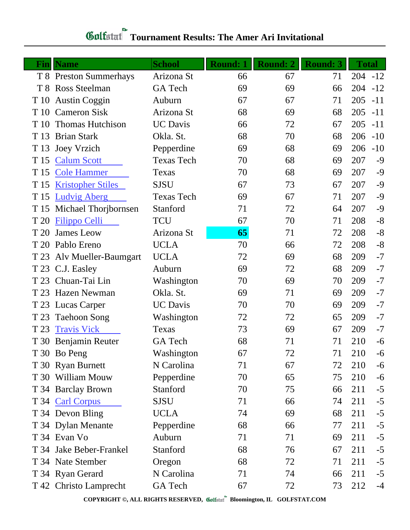## **Tournament Results: The Amer Ari Invitational**

|      | <b>Fin</b>   Name         | <b>School</b>     | <b>Round: 1</b> | <b>Round: 2</b> | <b>Round: 3</b> | <b>Total</b> |       |
|------|---------------------------|-------------------|-----------------|-----------------|-----------------|--------------|-------|
|      | T 8 Preston Summerhays    | Arizona St        | 66              | 67              | 71              | $204 - 12$   |       |
|      | T 8 Ross Steelman         | GA Tech           | 69              | 69              | 66              | 204          | $-12$ |
| T 10 | <b>Austin Coggin</b>      | Auburn            | 67              | 67              | 71              | 205          | $-11$ |
| T 10 | <b>Cameron Sisk</b>       | Arizona St        | 68              | 69              | 68              | 205          | $-11$ |
| T 10 | <b>Thomas Hutchison</b>   | <b>UC</b> Davis   | 66              | 72              | 67              | 205          | $-11$ |
| T 13 | <b>Brian Stark</b>        | Okla. St.         | 68              | 70              | 68              | 206          | $-10$ |
| T 13 | <b>Joey Vrzich</b>        | Pepperdine        | 69              | 68              | 69              | 206          | $-10$ |
| T 15 | <b>Calum Scott</b>        | <b>Texas Tech</b> | 70              | 68              | 69              | 207          | $-9$  |
|      | T 15 Cole Hammer          | Texas             | 70              | 68              | 69              | 207          | $-9$  |
| T 15 | <b>Kristopher Stiles</b>  | <b>SJSU</b>       | 67              | 73              | 67              | 207          | $-9$  |
|      | T 15 Ludvig Aberg         | <b>Texas Tech</b> | 69              | 67              | 71              | 207          | $-9$  |
| T 15 | Michael Thoribornsen      | Stanford          | 71              | 72              | 64              | 207          | $-9$  |
| T 20 | <b>Filippo Celli</b>      | <b>TCU</b>        | 67              | 70              | 71              | 208          | $-8$  |
| T 20 | James Leow                | Arizona St        | 65              | 71              | 72              | 208          | $-8$  |
|      | T 20 Pablo Ereno          | <b>UCLA</b>       | 70              | 66              | 72              | 208          | $-8$  |
|      | T 23 Alv Mueller-Baumgart | <b>UCLA</b>       | 72              | 69              | 68              | 209          | $-7$  |
|      | T 23 C.J. Easley          | Auburn            | 69              | 72              | 68              | 209          | $-7$  |
| T 23 | Chuan-Tai Lin             | Washington        | 70              | 69              | 70              | 209          | $-7$  |
| T 23 | <b>Hazen Newman</b>       | Okla. St.         | 69              | 71              | 69              | 209          | $-7$  |
|      | T 23 Lucas Carper         | <b>UC</b> Davis   | 70              | 70              | 69              | 209          | $-7$  |
| T 23 | <b>Taehoon Song</b>       | Washington        | 72              | 72              | 65              | 209          | $-7$  |
| T 23 | <b>Travis Vick</b>        | Texas             | 73              | 69              | 67              | 209          | $-7$  |
|      | T 30 Benjamin Reuter      | GA Tech           | 68              | 71              | 71              | 210          | $-6$  |
|      | T 30 Bo Peng              | Washington        | 67              | 72              | 71              | 210          | -6    |
|      | T 30 Ryan Burnett         | N Carolina        | 71              | 67              | 72              | 210          | -6    |
|      | T 30 William Mouw         | Pepperdine        | 70              | 65              | 75              | 210          | $-6$  |
|      | T 34 Barclay Brown        | Stanford          | 70              | 75              | 66              | 211          | $-5$  |
|      | T 34 Carl Corpus          | <b>SJSU</b>       | 71              | 66              | 74              | 211          | $-5$  |
|      | T 34 Devon Bling          | <b>UCLA</b>       | 74              | 69              | 68              | 211          | $-5$  |
|      | T 34 Dylan Menante        | Pepperdine        | 68              | 66              | 77              | 211          | $-5$  |
|      | T 34 Evan Vo              | Auburn            | 71              | 71              | 69              | 211          | $-5$  |
|      | T 34 Jake Beber-Frankel   | Stanford          | 68              | 76              | 67              | 211          | $-5$  |
|      | T 34 Nate Stember         | Oregon            | 68              | 72              | 71              | 211          | $-5$  |
|      | T 34 Ryan Gerard          | N Carolina        | 71              | 74              | 66              | 211          | $-5$  |
|      | T 42 Christo Lamprecht    | GA Tech           | 67              | 72              | 73              | 212          | $-4$  |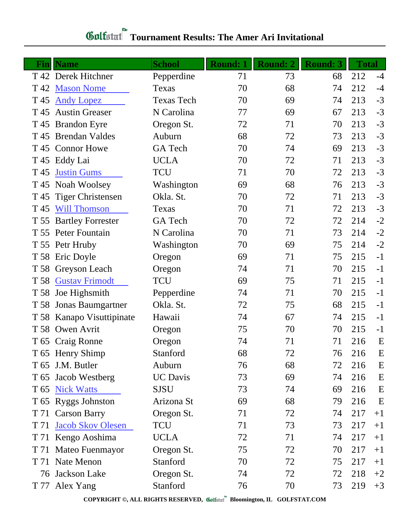## **Tournament Results: The Amer Ari Invitational**

| Finll | <b>Name</b>               | <b>School</b>     | <b>Round: 1</b> | <b>Round: 2</b> | <b>Round: 3</b> | <b>Total</b> |      |
|-------|---------------------------|-------------------|-----------------|-----------------|-----------------|--------------|------|
|       | T 42 Derek Hitchner       | Pepperdine        | 71              | 73              | 68              | 212          | $-4$ |
| T 42  | <b>Mason Nome</b>         | Texas             | 70              | 68              | 74              | 212          | $-4$ |
| T 45  | <b>Andy Lopez</b>         | <b>Texas Tech</b> | 70              | 69              | 74              | 213          | $-3$ |
| T 45  | <b>Austin Greaser</b>     | N Carolina        | 77              | 69              | 67              | 213          | $-3$ |
|       | T 45 Brandon Eyre         | Oregon St.        | 72              | 71              | 70              | 213          | $-3$ |
|       | T 45 Brendan Valdes       | Auburn            | 68              | 72              | 73              | 213          | $-3$ |
|       | T 45 Connor Howe          | <b>GA</b> Tech    | 70              | 74              | 69              | 213          | $-3$ |
|       | T 45 Eddy Lai             | <b>UCLA</b>       | 70              | 72              | 71              | 213          | $-3$ |
| T 45  | <b>Justin Gums</b>        | TCU               | 71              | 70              | 72              | 213          | $-3$ |
|       | T 45 Noah Woolsey         | Washington        | 69              | 68              | 76              | 213          | $-3$ |
|       | T 45 Tiger Christensen    | Okla. St.         | 70              | 72              | 71              | 213          | $-3$ |
| T 45  | <b>Will Thomson</b>       | Texas             | 70              | 71              | 72              | 213          | $-3$ |
| T 55  | <b>Bartley Forrester</b>  | GA Tech           | 70              | 72              | 72              | 214          | $-2$ |
|       | T 55 Peter Fountain       | N Carolina        | 70              | 71              | 73              | 214          | $-2$ |
|       | T 55 Petr Hruby           | Washington        | 70              | 69              | 75              | 214          | $-2$ |
|       | T 58 Eric Doyle           | Oregon            | 69              | 71              | 75              | 215          | $-1$ |
|       | T 58 Greyson Leach        | Oregon            | 74              | 71              | 70              | 215          | $-1$ |
|       | T 58 Gustav Frimodt       | <b>TCU</b>        | 69              | 75              | 71              | 215          | $-1$ |
| T 58  | Joe Highsmith             | Pepperdine        | 74              | 71              | 70              | 215          | $-1$ |
|       | T 58 Jonas Baumgartner    | Okla. St.         | 72              | 75              | 68              | 215          | $-1$ |
|       | T 58 Kanapo Visuttipinate | Hawaii            | 74              | 67              | 74              | 215          | $-1$ |
|       | T 58 Owen Avrit           | Oregon            | 75              | 70              | 70              | 215          | $-1$ |
|       | T 65 Craig Ronne          | Oregon            | 74              | 71              | 71              | 216          | E    |
|       | T 65 Henry Shimp          | Stanford          | 68              | 72              | 76              | 216          | E    |
| T 65  | J.M. Butler               | Auburn            | 76              | 68              | 72              | 216          | E    |
|       | T 65 Jacob Westberg       | <b>UC</b> Davis   | 73              | 69              | 74              | 216          | E    |
|       | T 65 Nick Watts           | <b>SJSU</b>       | 73              | 74              | 69              | 216          | E    |
|       | T 65 Ryggs Johnston       | Arizona St        | 69              | 68              | 79              | 216          | E    |
|       | T 71 Carson Barry         | Oregon St.        | 71              | 72              | 74              | 217          | $+1$ |
| T 71  | <b>Jacob Skov Olesen</b>  | TCU               | 71              | 73              | 73              | 217          | $+1$ |
|       | T 71 Kengo Aoshima        | <b>UCLA</b>       | 72              | 71              | 74              | 217          | $+1$ |
|       | T 71 Mateo Fuenmayor      | Oregon St.        | 75              | 72              | 70              | 217          | $+1$ |
|       | T 71 Nate Menon           | Stanford          | 70              | 72              | 75              | 217          | $+1$ |
| 76    | Jackson Lake              | Oregon St.        | 74              | 72              | 72              | 218          | $+2$ |
|       | T 77 Alex Yang            | Stanford          | 76              | 70              | 73              | 219          | $+3$ |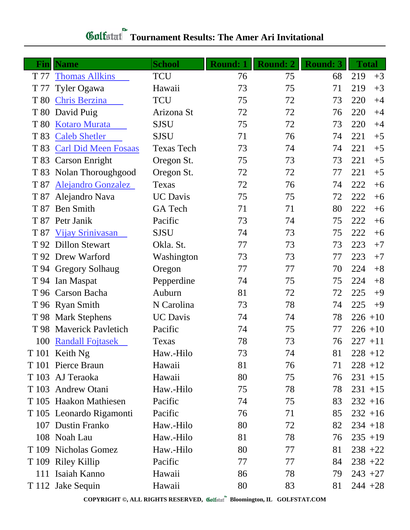## **Tournament Results: The Amer Ari Invitational**

| Fin  | <b>Name</b>                 | <b>School</b>     | <b>Round: 1</b> | <b>Round: 2</b> | <b>Round: 3</b> | <b>Total</b> |      |
|------|-----------------------------|-------------------|-----------------|-----------------|-----------------|--------------|------|
| T 77 | <b>Thomas Allkins</b>       | <b>TCU</b>        | 76              | 75              | 68              | 219          | $+3$ |
| T 77 | Tyler Ogawa                 | Hawaii            | 73              | 75              | 71              | 219          | $+3$ |
| T 80 | <b>Chris Berzina</b>        | <b>TCU</b>        | 75              | 72              | 73              | 220          | $+4$ |
| T 80 | David Puig                  | Arizona St        | 72              | 72              | 76              | 220          | $+4$ |
| T 80 | <b>Kotaro Murata</b>        | <b>SJSU</b>       | 75              | 72              | 73              | 220          | $+4$ |
| T 83 | <b>Caleb Shetler</b>        | <b>SJSU</b>       | 71              | 76              | 74              | 221          | $+5$ |
| T 83 | <b>Carl Did Meen Fosaas</b> | <b>Texas Tech</b> | 73              | 74              | 74              | 221          | $+5$ |
| T 83 | <b>Carson Enright</b>       | Oregon St.        | 75              | 73              | 73              | 221          | $+5$ |
| T 83 | Nolan Thoroughgood          | Oregon St.        | 72              | 72              | 77              | 221          | $+5$ |
| T 87 | <b>Alejandro Gonzalez</b>   | Texas             | 72              | 76              | 74              | 222          | $+6$ |
| T 87 | Alejandro Nava              | <b>UC</b> Davis   | 75              | 75              | 72              | 222          | $+6$ |
| T 87 | <b>Ben Smith</b>            | GA Tech           | 71              | 71              | 80              | 222          | $+6$ |
|      | T 87 Petr Janik             | Pacific           | 73              | 74              | 75              | 222          | $+6$ |
| T 87 | Vijay Srinivasan            | <b>SJSU</b>       | 74              | 73              | 75              | 222          | $+6$ |
|      | T 92 Dillon Stewart         | Okla. St.         | 77              | 73              | 73              | 223          | $+7$ |
|      | T 92 Drew Warford           | Washington        | 73              | 73              | 77              | 223          | $+7$ |
|      | T 94 Gregory Solhaug        | Oregon            | 77              | 77              | 70              | 224          | $+8$ |
|      | T 94 Ian Maspat             | Pepperdine        | 74              | 75              | 75              | 224          | $+8$ |
|      | T 96 Carson Bacha           | Auburn            | 81              | 72              | 72              | 225          | $+9$ |
|      | T 96 Ryan Smith             | N Carolina        | 73              | 78              | 74              | 225          | $+9$ |
|      | T 98 Mark Stephens          | <b>UC</b> Davis   | 74              | 74              | 78              | $226 + 10$   |      |
| T 98 | <b>Maverick Pavletich</b>   | Pacific           | 74              | 75              | 77              | $226 + 10$   |      |
| 100  | <b>Randall Fojtasek</b>     | Texas             | 78              | 73              | 76              | $227 + 11$   |      |
|      | T 101 Keith Ng              | Haw.-Hilo         | 73              | 74              | 81              | $228 + 12$   |      |
|      | T 101 Pierce Braun          | Hawaii            | 81              | 76              | 71              | $228 + 12$   |      |
|      | T 103 AJ Teraoka            | Hawaii            | 80              | 75              | 76              | $231 + 15$   |      |
|      | T 103 Andrew Otani          | Haw.-Hilo         | 75              | 78              | 78              | $231 + 15$   |      |
|      | T 105 Haakon Mathiesen      | Pacific           | 74              | 75              | 83              | $232 + 16$   |      |
|      | T 105 Leonardo Rigamonti    | Pacific           | 76              | 71              | 85              | $232 + 16$   |      |
|      | 107 Dustin Franko           | Haw.-Hilo         | 80              | 72              | 82              | $234 + 18$   |      |
|      | 108 Noah Lau                | Haw.-Hilo         | 81              | 78              | 76              | $235 + 19$   |      |
|      | T 109 Nicholas Gomez        | Haw.-Hilo         | 80              | 77              | 81              | $238 + 22$   |      |
|      | T 109 Riley Killip          | Pacific           | 77              | 77              | 84              | $238 + 22$   |      |
|      | 111 Isaiah Kanno            | Hawaii            | 86              | 78              | 79              | $243 + 27$   |      |
|      | T 112 Jake Sequin           | Hawaii            | 80              | 83              | 81              | $244 + 28$   |      |